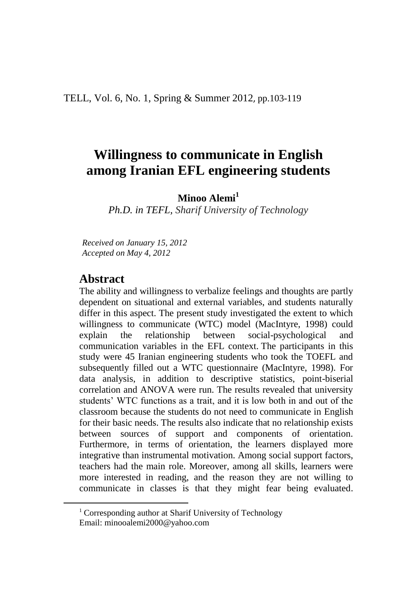# **Willingness to communicate in English among Iranian EFL engineering students**

**Minoo Alemi<sup>1</sup>**

*Ph.D. in TEFL, Sharif University of Technology*

*Received on January 15, 2012 Accepted on May 4, 2012*

## **Abstract**

 $\ddot{\phantom{a}}$ 

The ability and willingness to verbalize feelings and thoughts are partly dependent on situational and external variables, and students naturally differ in this aspect. The present study investigated the extent to which willingness to communicate (WTC) model (MacIntyre, 1998) could explain the relationship between social-psychological and communication variables in the EFL context. The participants in this study were 45 Iranian engineering students who took the TOEFL and subsequently filled out a WTC questionnaire (MacIntyre, 1998). For data analysis, in addition to descriptive statistics, point-biserial correlation and ANOVA were run. The results revealed that university students' WTC functions as a trait, and it is low both in and out of the classroom because the students do not need to communicate in English for their basic needs. The results also indicate that no relationship exists between sources of support and components of orientation. Furthermore, in terms of orientation, the learners displayed more integrative than instrumental motivation. Among social support factors, teachers had the main role. Moreover, among all skills, learners were more interested in reading, and the reason they are not willing to communicate in classes is that they might fear being evaluated.

<sup>&</sup>lt;sup>1</sup> Corresponding author at Sharif University of Technology Email: minooalemi2000@yahoo.com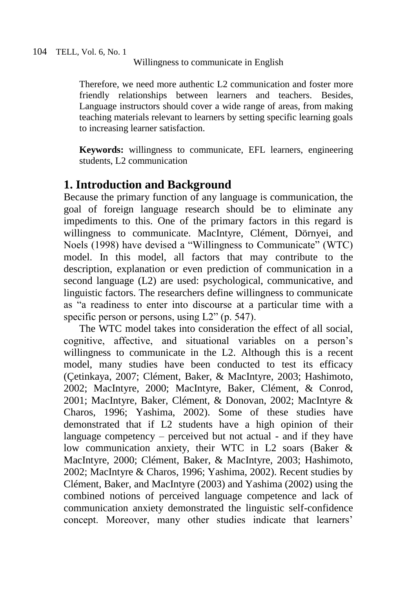Therefore, we need more authentic L2 communication and foster more friendly relationships between learners and teachers. Besides, Language instructors should cover a wide range of areas, from making teaching materials relevant to learners by setting specific learning goals to increasing learner satisfaction.

**Keywords:** willingness to communicate, EFL learners, engineering students, L2 communication

## **1. Introduction and Background**

Because the primary function of any language is communication, the goal of foreign language research should be to eliminate any impediments to this. One of the primary factors in this regard is willingness to communicate. MacIntyre, Clément, Dörnyei, and Noels (1998) have devised a "Willingness to Communicate" (WTC) model. In this model, all factors that may contribute to the description, explanation or even prediction of communication in a second language (L2) are used: psychological, communicative, and linguistic factors. The researchers define willingness to communicate as "a readiness to enter into discourse at a particular time with a specific person or persons, using L2" (p. 547).

The WTC model takes into consideration the effect of all social, cognitive, affective, and situational variables on a person's willingness to communicate in the L2. Although this is a recent model, many studies have been conducted to test its efficacy (Çetinkaya, 2007; Clément, Baker, & MacIntyre, 2003; Hashimoto, 2002; MacIntyre, 2000; MacIntyre, Baker, Clément, & Conrod, 2001; MacIntyre, Baker, Clément, & Donovan, 2002; MacIntyre & Charos, 1996; Yashima, 2002). Some of these studies have demonstrated that if L2 students have a high opinion of their language competency – perceived but not actual - and if they have low communication anxiety, their WTC in L2 soars (Baker & MacIntyre, 2000; Clément, Baker, & MacIntyre, 2003; Hashimoto, 2002; MacIntyre & Charos, 1996; Yashima, 2002). Recent studies by Clément, Baker, and MacIntyre (2003) and Yashima (2002) using the combined notions of perceived language competence and lack of communication anxiety demonstrated the linguistic self-confidence concept. Moreover, many other studies indicate that learners'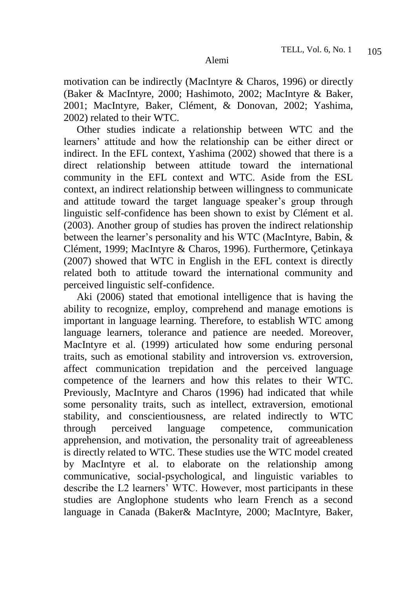motivation can be indirectly (MacIntyre & Charos, 1996) or directly (Baker & MacIntyre, 2000; Hashimoto, 2002; MacIntyre & Baker, 2001; MacIntyre, Baker, Clément, & Donovan, 2002; Yashima, 2002) related to their WTC.

 Other studies indicate a relationship between WTC and the learners' attitude and how the relationship can be either direct or indirect. In the EFL context, Yashima (2002) showed that there is a direct relationship between attitude toward the international community in the EFL context and WTC. Aside from the ESL context, an indirect relationship between willingness to communicate and attitude toward the target language speaker's group through linguistic self-confidence has been shown to exist by Clément et al. (2003). Another group of studies has proven the indirect relationship between the learner's personality and his WTC (MacIntyre, Babin, & Clément, 1999; MacIntyre & Charos, 1996). Furthermore, Çetinkaya (2007) showed that WTC in English in the EFL context is directly related both to attitude toward the international community and perceived linguistic self-confidence.

 Aki (2006) stated that emotional intelligence that is having the ability to recognize, employ, comprehend and manage emotions is important in language learning. Therefore, to establish WTC among language learners, tolerance and patience are needed. Moreover, MacIntyre et al. (1999) articulated how some enduring personal traits, such as emotional stability and introversion vs. extroversion, affect communication trepidation and the perceived language competence of the learners and how this relates to their WTC. Previously, MacIntyre and Charos (1996) had indicated that while some personality traits, such as intellect, extraversion, emotional stability, and conscientiousness, are related indirectly to WTC through perceived language competence, communication apprehension, and motivation, the personality trait of agreeableness is directly related to WTC. These studies use the WTC model created by MacIntyre et al. to elaborate on the relationship among communicative, social-psychological, and linguistic variables to describe the L2 learners' WTC. However, most participants in these studies are Anglophone students who learn French as a second language in Canada (Baker& MacIntyre, 2000; MacIntyre, Baker,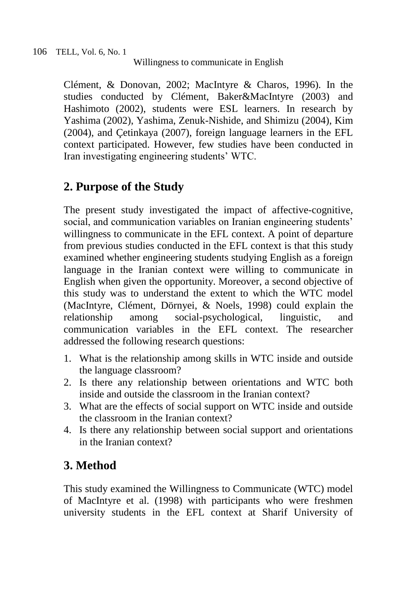Clément, & Donovan, 2002; MacIntyre & Charos, 1996). In the studies conducted by Clément, Baker&MacIntyre (2003) and Hashimoto (2002), students were ESL learners. In research by Yashima (2002), Yashima, Zenuk-Nishide, and Shimizu (2004), Kim (2004), and Çetinkaya (2007), foreign language learners in the EFL context participated. However, few studies have been conducted in Iran investigating engineering students' WTC.

## **2. Purpose of the Study**

The present study investigated the impact of affective-cognitive, social, and communication variables on Iranian engineering students' willingness to communicate in the EFL context. A point of departure from previous studies conducted in the EFL context is that this study examined whether engineering students studying English as a foreign language in the Iranian context were willing to communicate in English when given the opportunity. Moreover, a second objective of this study was to understand the extent to which the WTC model (MacIntyre, Clément, Dörnyei, & Noels, 1998) could explain the relationship among social-psychological, linguistic, and communication variables in the EFL context. The researcher addressed the following research questions:

- 1. What is the relationship among skills in WTC inside and outside the language classroom?
- 2. Is there any relationship between orientations and WTC both inside and outside the classroom in the Iranian context?
- 3. What are the effects of social support on WTC inside and outside the classroom in the Iranian context?
- 4. Is there any relationship between social support and orientations in the Iranian context?

# **3. Method**

This study examined the Willingness to Communicate (WTC) model of MacIntyre et al. (1998) with participants who were freshmen university students in the EFL context at Sharif University of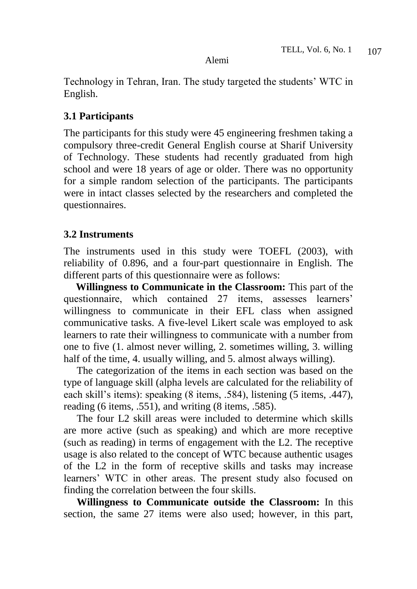Technology in Tehran, Iran. The study targeted the students' WTC in English.

## **3.1 Participants**

The participants for this study were 45 engineering freshmen taking a compulsory three-credit General English course at Sharif University of Technology. These students had recently graduated from high school and were 18 years of age or older. There was no opportunity for a simple random selection of the participants. The participants were in intact classes selected by the researchers and completed the questionnaires.

## **3.2 Instruments**

The instruments used in this study were TOEFL (2003), with reliability of 0.896, and a four-part questionnaire in English. The different parts of this questionnaire were as follows:

**Willingness to Communicate in the Classroom:** This part of the questionnaire, which contained 27 items, assesses learners' willingness to communicate in their EFL class when assigned communicative tasks. A five-level Likert scale was employed to ask learners to rate their willingness to communicate with a number from one to five (1. almost never willing, 2. sometimes willing, 3. willing half of the time, 4. usually willing, and 5. almost always willing).

 The categorization of the items in each section was based on the type of language skill (alpha levels are calculated for the reliability of each skill's items): speaking (8 items, .584), listening (5 items, .447), reading (6 items, .551), and writing (8 items, .585).

 The four L2 skill areas were included to determine which skills are more active (such as speaking) and which are more receptive (such as reading) in terms of engagement with the L2. The receptive usage is also related to the concept of WTC because authentic usages of the L2 in the form of receptive skills and tasks may increase learners' WTC in other areas. The present study also focused on finding the correlation between the four skills.

 **Willingness to Communicate outside the Classroom:** In this section, the same 27 items were also used; however, in this part,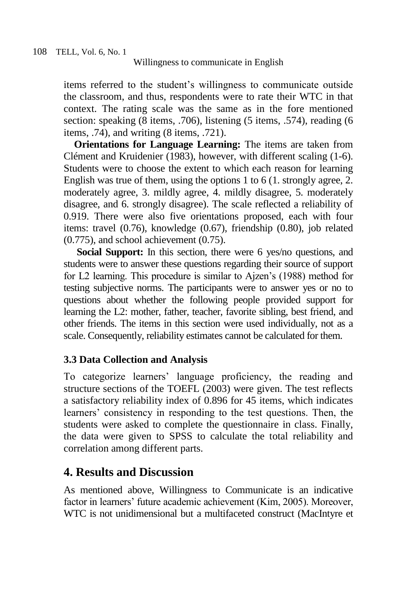items referred to the student's willingness to communicate outside the classroom, and thus, respondents were to rate their WTC in that context. The rating scale was the same as in the fore mentioned section: speaking (8 items, .706), listening (5 items, .574), reading (6 items, .74), and writing (8 items, .721).

 **Orientations for Language Learning:** The items are taken from Clément and Kruidenier (1983), however, with different scaling (1-6). Students were to choose the extent to which each reason for learning English was true of them, using the options 1 to 6 (1. strongly agree, 2. moderately agree, 3. mildly agree, 4. mildly disagree, 5. moderately disagree, and 6. strongly disagree). The scale reflected a reliability of 0.919. There were also five orientations proposed, each with four items: travel (0.76), knowledge (0.67), friendship (0.80), job related (0.775), and school achievement (0.75).

 **Social Support:** In this section, there were 6 yes/no questions, and students were to answer these questions regarding their source of support for L2 learning. This procedure is similar to Ajzen's (1988) method for testing subjective norms. The participants were to answer yes or no to questions about whether the following people provided support for learning the L2: mother, father, teacher, favorite sibling, best friend, and other friends. The items in this section were used individually, not as a scale. Consequently, reliability estimates cannot be calculated for them.

## **3.3 Data Collection and Analysis**

To categorize learners' language proficiency, the reading and structure sections of the TOEFL (2003) were given. The test reflects a satisfactory reliability index of 0.896 for 45 items, which indicates learners' consistency in responding to the test questions. Then, the students were asked to complete the questionnaire in class. Finally, the data were given to SPSS to calculate the total reliability and correlation among different parts.

## **4. Results and Discussion**

As mentioned above, Willingness to Communicate is an indicative factor in learners' future academic achievement (Kim, 2005). Moreover, WTC is not unidimensional but a multifaceted construct (MacIntyre et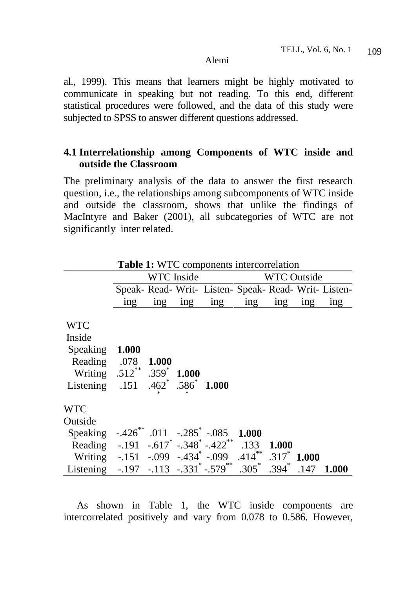al., 1999). This means that learners might be highly motivated to communicate in speaking but not reading. To this end, different statistical procedures were followed, and the data of this study were subjected to SPSS to answer different questions addressed.

## **4.1 Interrelationship among Components of WTC inside and outside the Classroom**

The preliminary analysis of the data to answer the first research question, i.e., the relationships among subcomponents of WTC inside and outside the classroom, shows that unlike the findings of MacIntyre and Baker (2001), all subcategories of WTC are not significantly inter related.

|                                                                                                                                                              | <b>WTC</b> Inside               |       |           |                                                                      | <b>WTC Outside</b> |       |       |       |
|--------------------------------------------------------------------------------------------------------------------------------------------------------------|---------------------------------|-------|-----------|----------------------------------------------------------------------|--------------------|-------|-------|-------|
|                                                                                                                                                              |                                 |       |           | Speak- Read- Writ- Listen- Speak- Read- Writ- Listen-                |                    |       |       |       |
|                                                                                                                                                              | $\frac{\text{ing}}{\text{ing}}$ |       | $ing$ ing |                                                                      | ing ing            | ing   | ing   | ing   |
| <b>WTC</b><br>Inside<br>Speaking 1.000<br>Reading .078<br>Writing .512 <sup>**</sup> .359 <sup>*</sup><br>Listening .151 .462 <sup>*</sup> .586 <sup>*</sup> |                                 | 1.000 | 1.000     | 1.000                                                                |                    |       |       |       |
| <b>WTC</b><br>Outside                                                                                                                                        |                                 |       |           |                                                                      |                    |       |       |       |
| Speaking                                                                                                                                                     |                                 |       |           | $-.426$ <sup>**</sup> .011 $-.285$ <sup>*</sup> $-.085$ <b>1.000</b> |                    |       |       |       |
| Reading $-.191-.617$ $-.348$ $-.422$ $133$                                                                                                                   |                                 |       |           |                                                                      |                    | 1.000 |       |       |
| Writing -.151 -.099 -.434 -.099 .414 ** .317 **                                                                                                              |                                 |       |           |                                                                      |                    |       | 1.000 |       |
| Listening                                                                                                                                                    |                                 |       |           | $-.197$ $-.113$ $-.331^*$ $-.579^*$ $.305^*$ $.394^*$                |                    |       | .147  | 1.000 |

**Table 1:** WTC components intercorrelation

 As shown in Table 1, the WTC inside components are intercorrelated positively and vary from 0.078 to 0.586. However,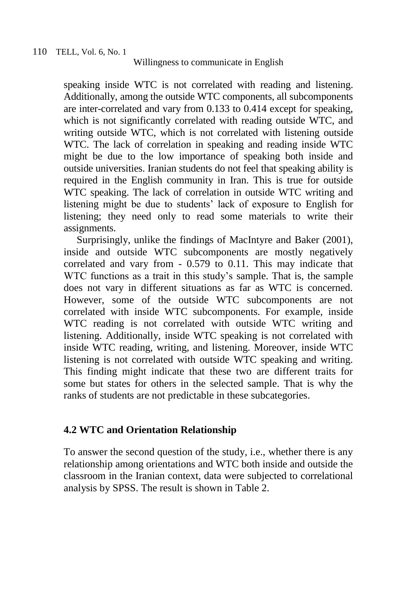speaking inside WTC is not correlated with reading and listening. Additionally, among the outside WTC components, all subcomponents are inter-correlated and vary from 0.133 to 0.414 except for speaking, which is not significantly correlated with reading outside WTC, and writing outside WTC, which is not correlated with listening outside WTC. The lack of correlation in speaking and reading inside WTC might be due to the low importance of speaking both inside and outside universities. Iranian students do not feel that speaking ability is required in the English community in Iran. This is true for outside WTC speaking. The lack of correlation in outside WTC writing and listening might be due to students' lack of exposure to English for listening; they need only to read some materials to write their assignments.

 Surprisingly, unlike the findings of MacIntyre and Baker (2001), inside and outside WTC subcomponents are mostly negatively correlated and vary from - 0.579 to 0.11. This may indicate that WTC functions as a trait in this study's sample. That is, the sample does not vary in different situations as far as WTC is concerned. However, some of the outside WTC subcomponents are not correlated with inside WTC subcomponents. For example, inside WTC reading is not correlated with outside WTC writing and listening. Additionally, inside WTC speaking is not correlated with inside WTC reading, writing, and listening. Moreover, inside WTC listening is not correlated with outside WTC speaking and writing. This finding might indicate that these two are different traits for some but states for others in the selected sample. That is why the ranks of students are not predictable in these subcategories.

## **4.2 WTC and Orientation Relationship**

To answer the second question of the study, i.e., whether there is any relationship among orientations and WTC both inside and outside the classroom in the Iranian context, data were subjected to correlational analysis by SPSS. The result is shown in Table 2.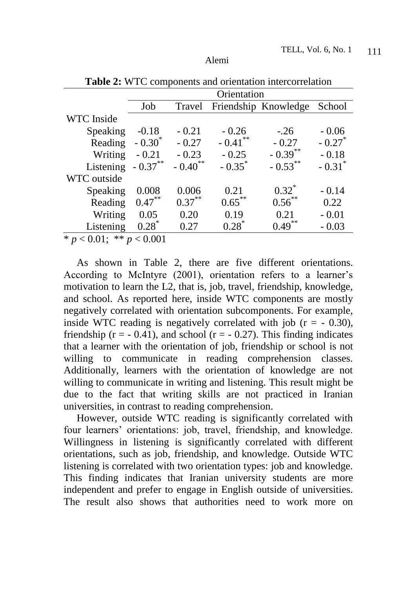|                              | Orientation |            |           |                      |                      |  |  |
|------------------------------|-------------|------------|-----------|----------------------|----------------------|--|--|
|                              | Job         | Travel     |           | Friendship Knowledge | School               |  |  |
| WTC Inside                   |             |            |           |                      |                      |  |  |
| Speaking                     | $-0.18$     | $-0.21$    | $-0.26$   | $-.26$               | $-0.06$              |  |  |
| Reading                      | $-0.30^{*}$ | $-0.27$    | $-0.41$   | $-0.27$              | $-0.27$              |  |  |
| Writing                      | $-0.21$     | $-0.23$    | $-0.25$   | $-0.39***$           | $-0.18$              |  |  |
| Listening                    | $-0.37***$  | $-0.40$ ** | $-0.35^*$ | $-0.53***$           | $-0.31$ <sup>*</sup> |  |  |
| WTC outside                  |             |            |           |                      |                      |  |  |
| Speaking                     | 0.008       | 0.006      | 0.21      | $0.32^*$             | $-0.14$              |  |  |
| Reading                      | $0.47***$   | $0.37***$  | $0.65***$ | $0.56^{**}$          | 0.22                 |  |  |
| Writing                      | 0.05        | 0.20       | 0.19      | 0.21                 | $-0.01$              |  |  |
| Listening                    | $0.28^*$    | 0.27       | $0.28^*$  | 0.49                 | $-0.03$              |  |  |
| $* n > 0.01$ $* * n > 0.001$ |             |            |           |                      |                      |  |  |

**Table 2:** WTC components and orientation intercorrelation

 $p < 0.01$ ; \*\*  $p < 0.001$ 

 As shown in Table 2, there are five different orientations. According to McIntyre (2001), orientation refers to a learner's motivation to learn the L2, that is, job, travel, friendship, knowledge, and school. As reported here, inside WTC components are mostly negatively correlated with orientation subcomponents. For example, inside WTC reading is negatively correlated with job  $(r = -0.30)$ , friendship ( $r = -0.41$ ), and school ( $r = -0.27$ ). This finding indicates that a learner with the orientation of job, friendship or school is not willing to communicate in reading comprehension classes. Additionally, learners with the orientation of knowledge are not willing to communicate in writing and listening. This result might be due to the fact that writing skills are not practiced in Iranian universities, in contrast to reading comprehension.

 However, outside WTC reading is significantly correlated with four learners' orientations: job, travel, friendship, and knowledge. Willingness in listening is significantly correlated with different orientations, such as job, friendship, and knowledge. Outside WTC listening is correlated with two orientation types: job and knowledge. This finding indicates that Iranian university students are more independent and prefer to engage in English outside of universities. The result also shows that authorities need to work more on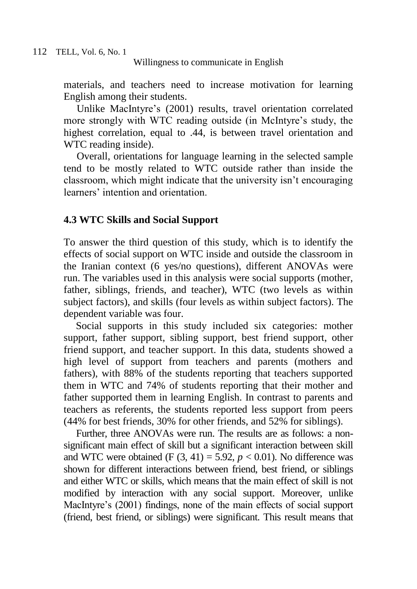materials, and teachers need to increase motivation for learning English among their students.

 Unlike MacIntyre's (2001) results, travel orientation correlated more strongly with WTC reading outside (in McIntyre's study, the highest correlation, equal to .44, is between travel orientation and WTC reading inside).

 Overall, orientations for language learning in the selected sample tend to be mostly related to WTC outside rather than inside the classroom, which might indicate that the university isn't encouraging learners' intention and orientation.

#### **4.3 WTC Skills and Social Support**

To answer the third question of this study, which is to identify the effects of social support on WTC inside and outside the classroom in the Iranian context (6 yes/no questions), different ANOVAs were run. The variables used in this analysis were social supports (mother, father, siblings, friends, and teacher), WTC (two levels as within subject factors), and skills (four levels as within subject factors). The dependent variable was four.

Social supports in this study included six categories: mother support, father support, sibling support, best friend support, other friend support, and teacher support. In this data, students showed a high level of support from teachers and parents (mothers and fathers), with 88% of the students reporting that teachers supported them in WTC and 74% of students reporting that their mother and father supported them in learning English. In contrast to parents and teachers as referents, the students reported less support from peers (44% for best friends, 30% for other friends, and 52% for siblings).

Further, three ANOVAs were run. The results are as follows: a nonsignificant main effect of skill but a significant interaction between skill and WTC were obtained (F  $(3, 41) = 5.92$ ,  $p < 0.01$ ). No difference was shown for different interactions between friend, best friend, or siblings and either WTC or skills, which means that the main effect of skill is not modified by interaction with any social support. Moreover, unlike MacIntyre's (2001) findings, none of the main effects of social support (friend, best friend, or siblings) were significant. This result means that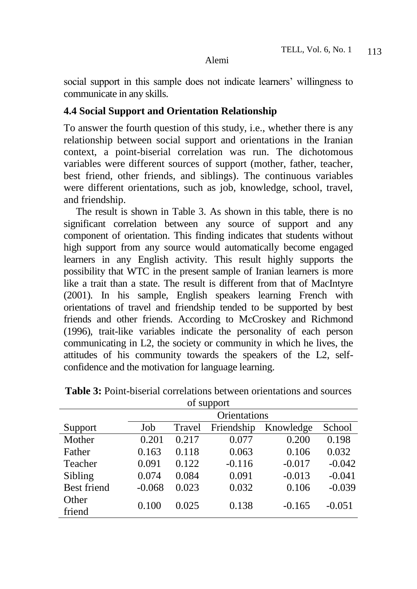social support in this sample does not indicate learners' willingness to communicate in any skills.

### **4.4 Social Support and Orientation Relationship**

To answer the fourth question of this study, i.e., whether there is any relationship between social support and orientations in the Iranian context, a point-biserial correlation was run. The dichotomous variables were different sources of support (mother, father, teacher, best friend, other friends, and siblings). The continuous variables were different orientations, such as job, knowledge, school, travel, and friendship.

The result is shown in Table 3. As shown in this table, there is no significant correlation between any source of support and any component of orientation. This finding indicates that students without high support from any source would automatically become engaged learners in any English activity. This result highly supports the possibility that WTC in the present sample of Iranian learners is more like a trait than a state. The result is different from that of MacIntyre (2001). In his sample, English speakers learning French with orientations of travel and friendship tended to be supported by best friends and other friends. According to McCroskey and Richmond (1996), trait-like variables indicate the personality of each person communicating in L2, the society or community in which he lives, the attitudes of his community towards the speakers of the L2, selfconfidence and the motivation for language learning.

| <b>OI</b> DUPPOIL  |              |        |            |           |          |  |  |
|--------------------|--------------|--------|------------|-----------|----------|--|--|
|                    | Orientations |        |            |           |          |  |  |
| Support            | Job          | Travel | Friendship | Knowledge | School   |  |  |
| Mother             | 0.201        | 0.217  | 0.077      | 0.200     | 0.198    |  |  |
| Father             | 0.163        | 0.118  | 0.063      | 0.106     | 0.032    |  |  |
| Teacher            | 0.091        | 0.122  | $-0.116$   | $-0.017$  | $-0.042$ |  |  |
| Sibling            | 0.074        | 0.084  | 0.091      | $-0.013$  | $-0.041$ |  |  |
| <b>Best friend</b> | $-0.068$     | 0.023  | 0.032      | 0.106     | $-0.039$ |  |  |
| Other              | 0.100        | 0.025  | 0.138      | $-0.165$  | $-0.051$ |  |  |
| friend             |              |        |            |           |          |  |  |

**Table 3:** Point-biserial correlations between orientations and sources of support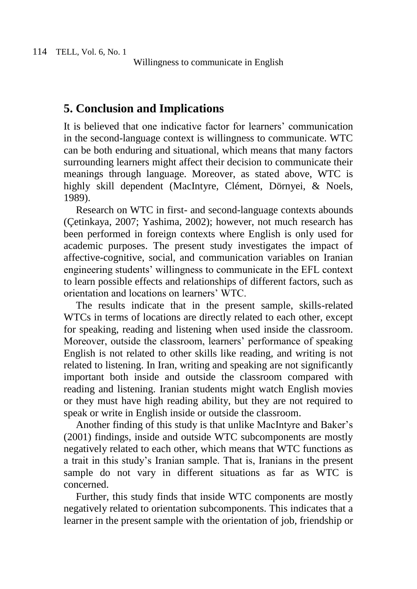## **5. Conclusion and Implications**

It is believed that one indicative factor for learners' communication in the second-language context is willingness to communicate. WTC can be both enduring and situational, which means that many factors surrounding learners might affect their decision to communicate their meanings through language. Moreover, as stated above, WTC is highly skill dependent (MacIntyre, Clément, Dörnyei, & Noels, 1989).

Research on WTC in first- and second-language contexts abounds (Çetinkaya, 2007; Yashima, 2002); however, not much research has been performed in foreign contexts where English is only used for academic purposes. The present study investigates the impact of affective-cognitive, social, and communication variables on Iranian engineering students' willingness to communicate in the EFL context to learn possible effects and relationships of different factors, such as orientation and locations on learners' WTC.

The results indicate that in the present sample, skills-related WTCs in terms of locations are directly related to each other, except for speaking, reading and listening when used inside the classroom. Moreover, outside the classroom, learners' performance of speaking English is not related to other skills like reading, and writing is not related to listening. In Iran, writing and speaking are not significantly important both inside and outside the classroom compared with reading and listening. Iranian students might watch English movies or they must have high reading ability, but they are not required to speak or write in English inside or outside the classroom.

Another finding of this study is that unlike MacIntyre and Baker's (2001) findings, inside and outside WTC subcomponents are mostly negatively related to each other, which means that WTC functions as a trait in this study's Iranian sample. That is, Iranians in the present sample do not vary in different situations as far as WTC is concerned.

Further, this study finds that inside WTC components are mostly negatively related to orientation subcomponents. This indicates that a learner in the present sample with the orientation of job, friendship or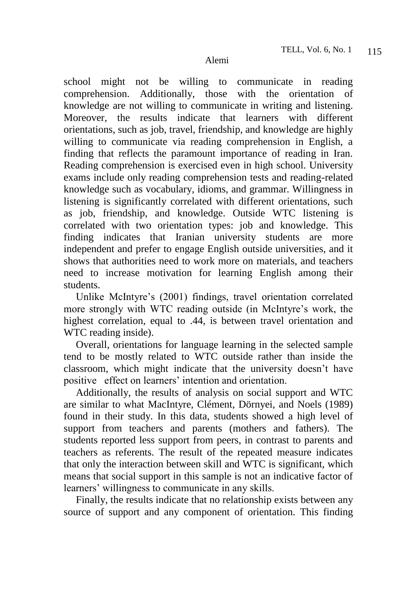school might not be willing to communicate in reading comprehension. Additionally, those with the orientation of knowledge are not willing to communicate in writing and listening. Moreover, the results indicate that learners with different orientations, such as job, travel, friendship, and knowledge are highly willing to communicate via reading comprehension in English, a finding that reflects the paramount importance of reading in Iran. Reading comprehension is exercised even in high school. University exams include only reading comprehension tests and reading-related knowledge such as vocabulary, idioms, and grammar. Willingness in listening is significantly correlated with different orientations, such as job, friendship, and knowledge. Outside WTC listening is correlated with two orientation types: job and knowledge. This finding indicates that Iranian university students are more independent and prefer to engage English outside universities, and it shows that authorities need to work more on materials, and teachers need to increase motivation for learning English among their students.

Unlike McIntyre's (2001) findings, travel orientation correlated more strongly with WTC reading outside (in McIntyre's work, the highest correlation, equal to .44, is between travel orientation and WTC reading inside).

Overall, orientations for language learning in the selected sample tend to be mostly related to WTC outside rather than inside the classroom, which might indicate that the university doesn't have positive effect on learners' intention and orientation.

Additionally, the results of analysis on social support and WTC are similar to what MacIntyre, Clément, Dörnyei, and Noels (1989) found in their study. In this data, students showed a high level of support from teachers and parents (mothers and fathers). The students reported less support from peers, in contrast to parents and teachers as referents. The result of the repeated measure indicates that only the interaction between skill and WTC is significant, which means that social support in this sample is not an indicative factor of learners' willingness to communicate in any skills.

Finally, the results indicate that no relationship exists between any source of support and any component of orientation. This finding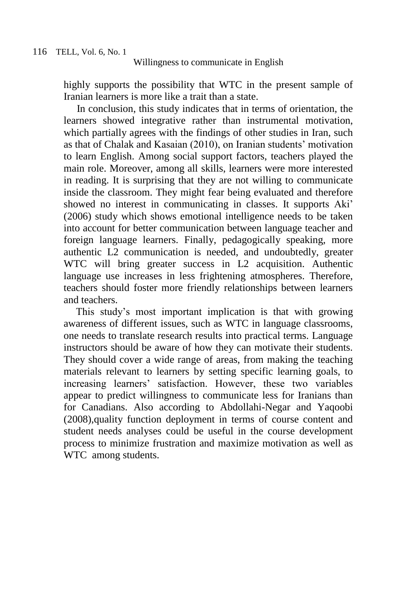highly supports the possibility that WTC in the present sample of Iranian learners is more like a trait than a state.

 In conclusion, this study indicates that in terms of orientation, the learners showed integrative rather than instrumental motivation, which partially agrees with the findings of other studies in Iran, such as that of Chalak and Kasaian (2010), on Iranian students' motivation to learn English. Among social support factors, teachers played the main role. Moreover, among all skills, learners were more interested in reading. It is surprising that they are not willing to communicate inside the classroom. They might fear being evaluated and therefore showed no interest in communicating in classes. It supports Aki' (2006) study which shows emotional intelligence needs to be taken into account for better communication between language teacher and foreign language learners. Finally, pedagogically speaking, more authentic L2 communication is needed, and undoubtedly, greater WTC will bring greater success in L2 acquisition. Authentic language use increases in less frightening atmospheres. Therefore, teachers should foster more friendly relationships between learners and teachers.

This study's most important implication is that with growing awareness of different issues, such as WTC in language classrooms, one needs to translate research results into practical terms. Language instructors should be aware of how they can motivate their students. They should cover a wide range of areas, from making the teaching materials relevant to learners by setting specific learning goals, to increasing learners' satisfaction. However, these two variables appear to predict willingness to communicate less for Iranians than for Canadians. Also according to Abdollahi-Negar and Yaqoobi (2008),quality function deployment in terms of course content and student needs analyses could be useful in the course development process to minimize frustration and maximize motivation as well as WTC among students.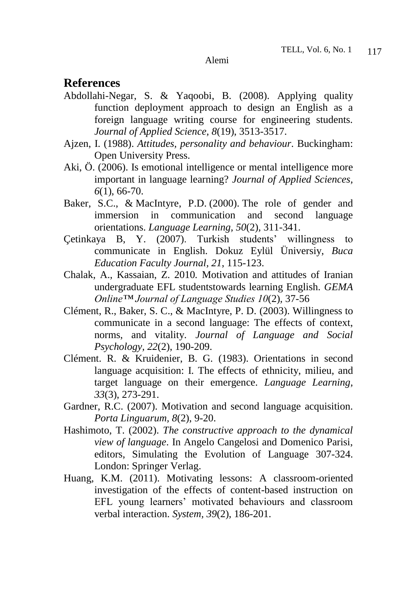## **References**

- Abdollahi-Negar, S. & Yaqoobi, B. (2008). Applying quality function deployment approach to design an English as a foreign language writing course for engineering students. *Journal of Applied Science, 8*(19), 3513-3517.
- Ajzen, I. (1988). *Attitudes, personality and behaviour*. Buckingham: Open University Press.
- Aki, Ö. (2006). Is emotional intelligence or mental intelligence more important in language learning? *Journal of Applied Sciences, 6*(1), 66-70.
- Baker, S.C., & MacIntyre, P.D. (2000). The role of gender and immersion in communication and second language orientations. *Language Learning, 50*(2)*,* 311-341.
- Çetinkaya B, Y. (2007). Turkish students' willingness to communicate in English. Dokuz Eylül Üniversiy, *Buca Education Faculty Journal, 21*, 115-123.
- Chalak, A., Kassaian, Z. 2010*.* Motivation and attitudes of Iranian undergraduate EFL studentstowards learning English. *GEMA Online™ Journal of Language Studies 10*(2)*,* 37-56
- Clément, R., Baker, S. C., & MacIntyre, P. D. (2003). Willingness to communicate in a second language: The effects of context, norms, and vitality. *Journal of Language and Social Psychology, 22*(2), 190-209.
- Clément. R. & Kruidenier, B. G. (1983). Orientations in second language acquisition: I. The effects of ethnicity, milieu, and target language on their emergence. *Language Learning, 33*(3), 273-291.
- Gardner, R.C. (2007). Motivation and second language acquisition. *Porta Linguarum, 8*(2), 9-20.
- [Hashimoto, T.](http://www.isrl.uiuc.edu/~amag/langev/author/thashimoto.html) (2002). *The constructive approach to the dynamical view of language*. In Angelo Cangelosi and Domenico Parisi, editors, Simulating the [Evolution of Language](http://www.isrl.uiuc.edu/~amag/langev/pubtype/inbook_SimulatingtheEvolutionofLanguage.html) 307-324. London: Springer Verlag.
- Huang, K.M. (2011). Motivating lessons: A classroom-oriented investigation of the effects of content-based instruction on EFL young learners' motivated behaviours and classroom verbal interaction. *System, 39*(2), 186-201.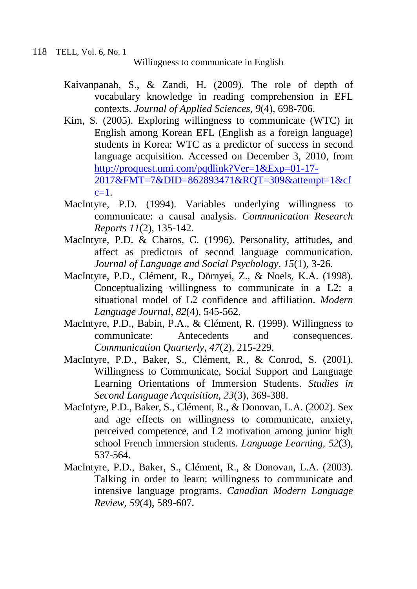- Kaivanpanah, S., & Zandi, H. (2009). The role of depth of vocabulary knowledge in reading comprehension in EFL contexts. *Journal of Applied Sciences, 9*(4), 698-706.
- Kim, S. (2005). Exploring willingness to communicate (WTC) in English among Korean EFL (English as a foreign language) students in Korea: WTC as a predictor of success in second language acquisition. Accessed on December 3, 2010, from [http://proquest.umi.com/pqdlink?Ver=1&Exp=01-17-](http://proquest.umi.com/pqdlink?Ver=1&Exp=01-17-2017&FMT=7&DID=862893471&RQT=309&attempt=1&cfc=1) [2017&FMT=7&DID=862893471&RQT=309&attempt=1&cf](http://proquest.umi.com/pqdlink?Ver=1&Exp=01-17-2017&FMT=7&DID=862893471&RQT=309&attempt=1&cfc=1)  $c=1$ .
- MacIntyre, P.D. (1994). Variables underlying willingness to communicate: a causal analysis. *Communication Research Reports 11*(2), 135-142.
- MacIntyre, P.D. & Charos, C. (1996). Personality, attitudes, and affect as predictors of second language communication. *Journal of Language and Social Psychology, 15*(1)*,* 3-26.
- MacIntyre, P.D., Clément, R., Dörnyei, Z., & Noels, K.A. (1998). Conceptualizing willingness to communicate in a L2: a situational model of L2 confidence and affiliation. *Modern Language Journal, 82*(4), 545-562.
- MacIntyre, P.D., Babin, P.A., & Clément, R. (1999). Willingness to communicate: Antecedents and consequences. *Communication Quarterly, 47*(2)*,* 215-229.
- MacIntyre, P.D., Baker, S., Clément, R., & Conrod, S. (2001). Willingness to Communicate, Social Support and Language Learning Orientations of Immersion Students. *Studies in Second Language Acquisition, 23*(3)*,* 369-388.
- MacIntyre, P.D., Baker, S., Clément, R., & Donovan, L.A. (2002). Sex and age effects on willingness to communicate, anxiety, perceived competence, and L2 motivation among junior high school French immersion students. *Language Learning, 52*(3), 537-564.
- MacIntyre, P.D., Baker, S., Clément, R., & Donovan, L.A. (2003). Talking in order to learn: willingness to communicate and intensive language programs. *Canadian Modern Language Review, 59*(4), 589-607.